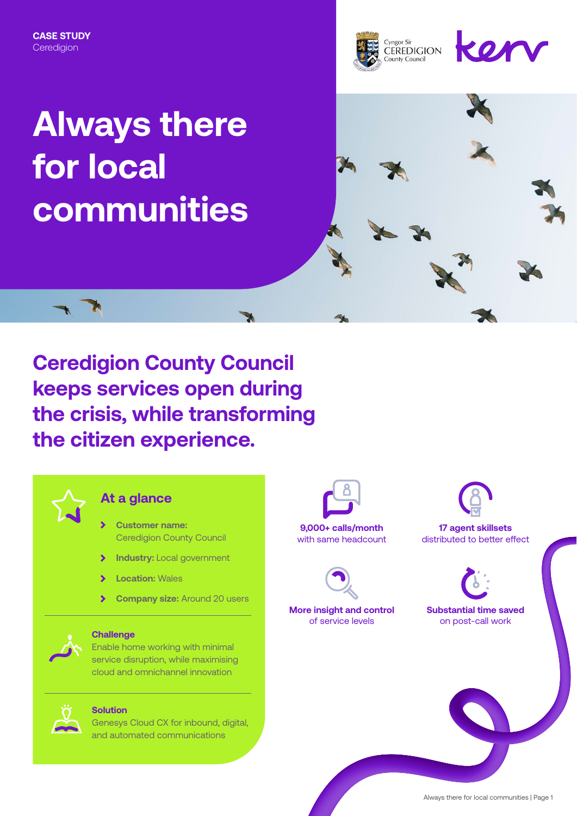

# **Always there for local communities**





#### **At a glance**

- **Customer name:**  Ceredigion County Council
- $\blacktriangleright$ **Industry:** Local government
- **Location:** Wales
- **Company size:** Around 20 users  $\blacktriangleright$



#### **Challenge**

Enable home working with minimal service disruption, while maximising cloud and omnichannel innovation



#### **Solution**

Genesys Cloud CX for inbound, digital, and automated communications



with same headcount



**More insight and control** of service levels



**17 agent skillsets** distributed to better effect



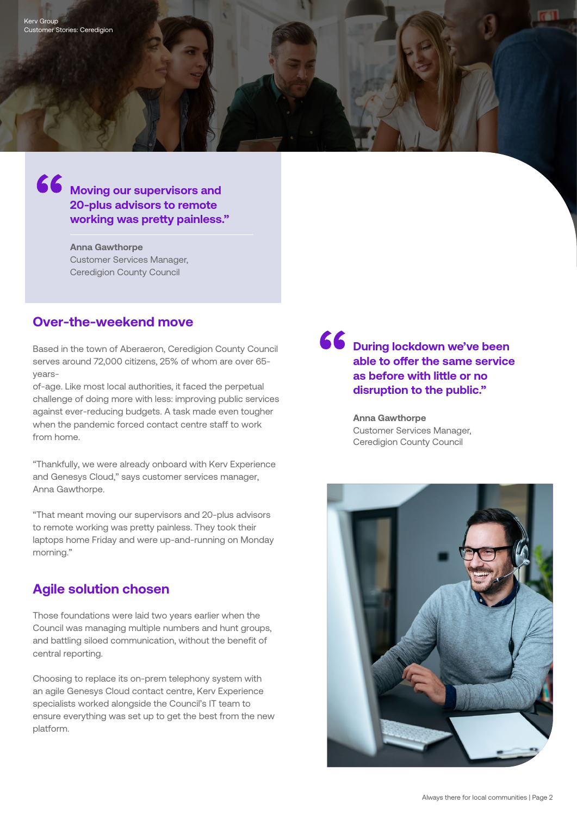# **66** Moving our supervisors and **20-plus advisors to remote working was pretty painless."**

**Anna Gawthorpe** Customer Services Manager, Ceredigion County Council

#### **Over-the-weekend move**

Based in the town of Aberaeron, Ceredigion County Council serves around 72,000 citizens, 25% of whom are over 65 years-

of-age. Like most local authorities, it faced the perpetual challenge of doing more with less: improving public services against ever-reducing budgets. A task made even tougher when the pandemic forced contact centre staff to work from home.

"Thankfully, we were already onboard with Kerv Experience and Genesys Cloud," says customer services manager, Anna Gawthorpe.

"That meant moving our supervisors and 20-plus advisors to remote working was pretty painless. They took their laptops home Friday and were up-and-running on Monday morning."

### **Agile solution chosen**

Those foundations were laid two years earlier when the Council was managing multiple numbers and hunt groups, and battling siloed communication, without the benefit of central reporting.

Choosing to replace its on-prem telephony system with an agile Genesys Cloud contact centre, Kerv Experience specialists worked alongside the Council's IT team to ensure everything was set up to get the best from the new platform.

66 **During lockdown we've been able to offer the same service as before with little or no disruption to the public."**

> **Anna Gawthorpe** Customer Services Manager, Ceredigion County Council